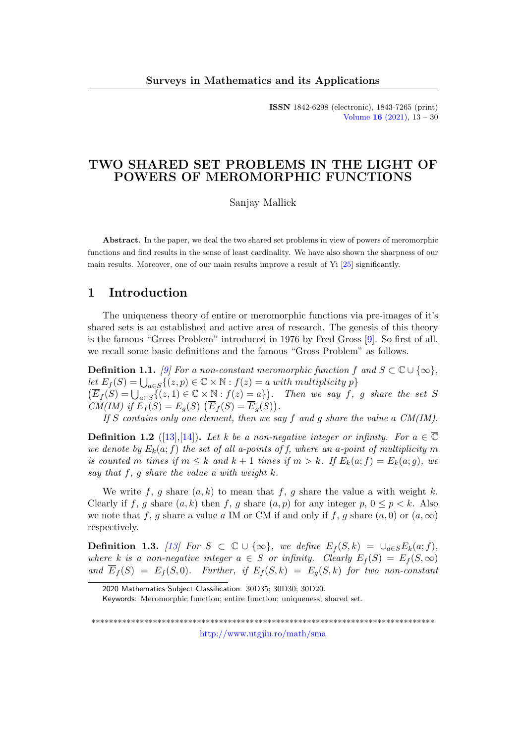ISSN 1842-6298 (electronic), 1843-7265 (print) [Volume](http://www.utgjiu.ro/math/sma/v16/v16.html) 16 (2021), 13 – 30

## TWO SHARED SET PROBLEMS IN THE LIGHT OF POWERS OF MEROMORPHIC FUNCTIONS

Sanjay Mallick

Abstract. In the paper, we deal the two shared set problems in view of powers of meromorphic functions and find results in the sense of least cardinality. We have also shown the sharpness of our main results. Moreover, one of our main results improve a result of Yi [\[25\]](#page-16-0) significantly.

# 1 Introduction

The uniqueness theory of entire or meromorphic functions via pre-images of it's shared sets is an established and active area of research. The genesis of this theory is the famous "Gross Problem" introduced in 1976 by Fred Gross [\[9\]](#page-15-0). So first of all, we recall some basic definitions and the famous "Gross Problem" as follows.

**Definition 1.1.** [\[9\]](#page-15-0) For a non-constant meromorphic function f and  $S \subset \mathbb{C} \cup \{\infty\}$ ,  $let E_f(S) = \bigcup_{a \in S} \{ (z, p) \in \mathbb{C} \times \mathbb{N} : f(z) = a \text{ with multiplicity } p \}$  $(\overline{E}_f(S) = \bigcup_{a \in S} \{ (z,1) \in \mathbb{C} \times \mathbb{N} : f(z) = a \})$ . Then we say f, g share the set S CM(IM) if  $E_f(S) = E_g(S) \left( \overline{E}_f(S) = \overline{E}_g(S) \right)$ .

If S contains only one element, then we say f and q share the value a  $CM(IM)$ .

**Definition 1.2** ([\[13\]](#page-15-1),[\[14\]](#page-15-2)). Let k be a non-negative integer or infinity. For  $a \in \overline{C}$ we denote by  $E_k(a; f)$  the set of all a-points of f, where an a-point of multiplicity m is counted m times if  $m \leq k$  and  $k + 1$  times if  $m > k$ . If  $E_k(a; f) = E_k(a; g)$ , we say that f, q share the value a with weight  $k$ .

We write f, g share  $(a, k)$  to mean that f, g share the value a with weight k. Clearly if f, g share  $(a, k)$  then f, g share  $(a, p)$  for any integer p,  $0 \le p \le k$ . Also we note that f, g share a value a IM or CM if and only if f, g share  $(a, 0)$  or  $(a, \infty)$ respectively.

**Definition 1.3.** [\[13\]](#page-15-1) For  $S \subset \mathbb{C} \cup \{\infty\}$ , we define  $E_f(S, k) = \bigcup_{a \in S} E_k(a; f)$ , where k is a non-negative integer  $a \in S$  or infinity. Clearly  $E_f(S) = E_f(S, \infty)$ and  $\overline{E}_f(S) = E_f(S,0)$ . Further, if  $E_f(S,k) = E_g(S,k)$  for two non-constant

\*\*\*\*\*\*\*\*\*\*\*\*\*\*\*\*\*\*\*\*\*\*\*\*\*\*\*\*\*\*\*\*\*\*\*\*\*\*\*\*\*\*\*\*\*\*\*\*\*\*\*\*\*\*\*\*\*\*\*\*\*\*\*\*\*\*\*\*\*\*\*\*\*\*\*\*\*\* <http://www.utgjiu.ro/math/sma>

<sup>2020</sup> Mathematics Subject Classification: 30D35; 30D30; 30D20.

Keywords: Meromorphic function; entire function; uniqueness; shared set.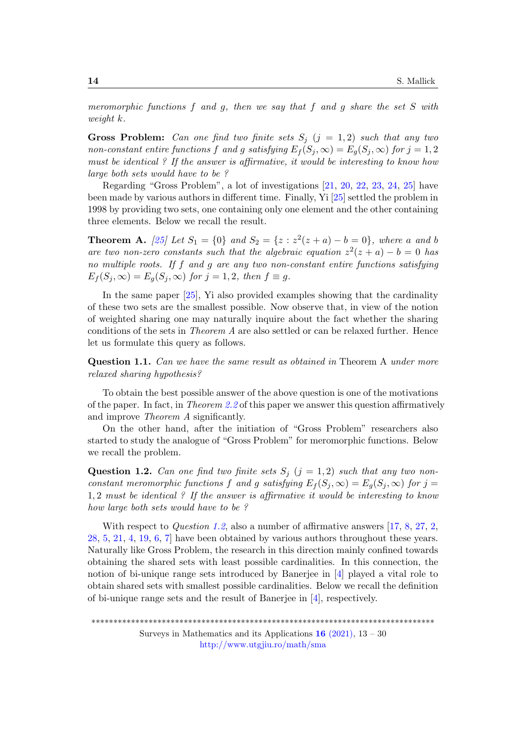meromorphic functions  $f$  and  $g$ , then we say that  $f$  and  $g$  share the set  $S$  with weight k.

**Gross Problem:** Can one find two finite sets  $S_i$  (j = 1,2) such that any two non-constant entire functions f and g satisfying  $E_f(S_i, \infty) = E_g(S_i, \infty)$  for  $j = 1, 2$ must be identical ? If the answer is affirmative, it would be interesting to know how large both sets would have to be ?

Regarding "Gross Problem", a lot of investigations [\[21,](#page-16-1) [20,](#page-16-2) [22,](#page-16-3) [23,](#page-16-4) [24,](#page-16-5) [25\]](#page-16-0) have been made by various authors in different time. Finally, Yi [\[25\]](#page-16-0) settled the problem in 1998 by providing two sets, one containing only one element and the other containing three elements. Below we recall the result.

**Theorem A.** [\[25\]](#page-16-0) Let  $S_1 = \{0\}$  and  $S_2 = \{z : z^2(z+a) - b = 0\}$ , where a and b are two non-zero constants such that the algebraic equation  $z^2(z + a) - b = 0$  has no multiple roots. If f and g are any two non-constant entire functions satisfying  $E_f(S_i, \infty) = E_q(S_i, \infty)$  for  $j = 1, 2$ , then  $f \equiv g$ .

In the same paper [\[25\]](#page-16-0), Yi also provided examples showing that the cardinality of these two sets are the smallest possible. Now observe that, in view of the notion of weighted sharing one may naturally inquire about the fact whether the sharing conditions of the sets in Theorem A are also settled or can be relaxed further. Hence let us formulate this query as follows.

<span id="page-1-1"></span>Question 1.1. Can we have the same result as obtained in Theorem A under more relaxed sharing hypothesis?

To obtain the best possible answer of the above question is one of the motivations of the paper. In fact, in Theorem [2.2](#page-4-0) of this paper we answer this question affirmatively and improve Theorem A significantly.

On the other hand, after the initiation of "Gross Problem" researchers also started to study the analogue of "Gross Problem" for meromorphic functions. Below we recall the problem.

<span id="page-1-0"></span>Question 1.2. Can one find two finite sets  $S_i$   $(j = 1, 2)$  such that any two nonconstant meromorphic functions f and g satisfying  $E_f(S_i,\infty) = E_g(S_i,\infty)$  for j = 1, 2 must be identical ? If the answer is affirmative it would be interesting to know how large both sets would have to be ?

With respect to *Question [1.2](#page-1-0)*, also a number of affirmative answers [\[17,](#page-15-3) [8,](#page-15-4) [27,](#page-16-6) [2,](#page-14-0) [28,](#page-16-7) [5,](#page-15-5) [21,](#page-16-1) [4,](#page-15-6) [19,](#page-16-8) [6,](#page-15-7) [7\]](#page-15-8) have been obtained by various authors throughout these years. Naturally like Gross Problem, the research in this direction mainly confined towards obtaining the shared sets with least possible cardinalities. In this connection, the notion of bi-unique range sets introduced by Banerjee in [\[4\]](#page-15-6) played a vital role to obtain shared sets with smallest possible cardinalities. Below we recall the definition of bi-unique range sets and the result of Banerjee in [\[4\]](#page-15-6), respectively.

\*\*\*\*\*\*\*\*\*\*\*\*\*\*\*\*\*\*\*\*\*\*\*\*\*\*\*\*\*\*\*\*\*\*\*\*\*\*\*\*\*\*\*\*\*\*\*\*\*\*\*\*\*\*\*\*\*\*\*\*\*\*\*\*\*\*\*\*\*\*\*\*\*\*\*\*\*\*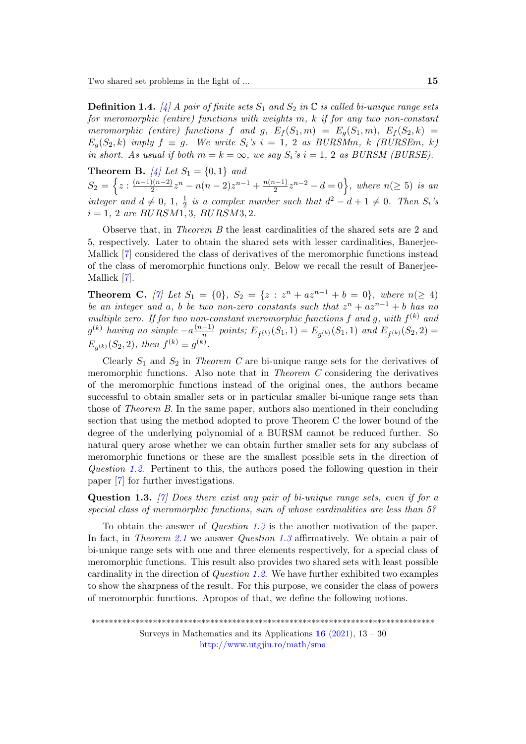**Definition 1.4.** [\[4\]](#page-15-6) A pair of finite sets  $S_1$  and  $S_2$  in  $\mathbb C$  is called bi-unique range sets for meromorphic (entire) functions with weights m, k if for any two non-constant meromorphic (entire) functions f and g,  $E_f(S_1,m) = E_g(S_1,m)$ ,  $E_f(S_2,k) =$  $E_q(S_2, k)$  imply  $f \equiv g$ . We write  $S_i$ 's  $i = 1, 2$  as BURSMm, k (BURSEm, k) in short. As usual if both  $m = k = \infty$ , we say  $S_i$ 's  $i = 1, 2$  as BURSM (BURSE).

**Theorem B.** [\[4\]](#page-15-6) Let  $S_1 = \{0, 1\}$  and  $S_2 = \left\{ z : \frac{(n-1)(n-2)}{2} \right\}$  $\frac{n(n-2)}{2}z^n - n(n-2)z^{n-1} + \frac{n(n-1)}{2}$  $\left\{\frac{n-1}{2}z^{n-2}-d=0\right\}$ , where  $n(\geq 5)$  is an integer and  $d \neq 0, 1, \frac{1}{2}$  $\frac{1}{2}$  is a complex number such that  $d^2 - d + 1 \neq 0$ . Then  $S_i$ 's  $i = 1, 2$  are BURSM1, 3, BURSM3, 2.

Observe that, in Theorem B the least cardinalities of the shared sets are 2 and 5, respectively. Later to obtain the shared sets with lesser cardinalities, Banerjee-Mallick [\[7\]](#page-15-8) considered the class of derivatives of the meromorphic functions instead of the class of meromorphic functions only. Below we recall the result of Banerjee-Mallick [\[7\]](#page-15-8).

**Theorem C.** [\[7\]](#page-15-8) Let  $S_1 = \{0\}$ ,  $S_2 = \{z : z^n + az^{n-1} + b = 0\}$ , where  $n(\geq 4)$ be an integer and a, b be two non-zero constants such that  $z^n + az^{n-1} + b$  has no multiple zero. If for two non-constant meromorphic functions f and g, with  $f^{(k)}$  and  $g^{(k)}$  having no simple  $-a^{(n-1)}$  $\frac{(-1)}{n}$  points;  $E_{f^{(k)}}(S_1,1) = E_{g^{(k)}}(S_1,1)$  and  $E_{f^{(k)}}(S_2,2) =$  $E_{g^{(k)}}(S_2, 2)$ , then  $f^{(k)} \equiv g^{(k)}$ .

Clearly  $S_1$  and  $S_2$  in Theorem C are bi-unique range sets for the derivatives of meromorphic functions. Also note that in Theorem C considering the derivatives of the meromorphic functions instead of the original ones, the authors became successful to obtain smaller sets or in particular smaller bi-unique range sets than those of Theorem B. In the same paper, authors also mentioned in their concluding section that using the method adopted to prove Theorem C the lower bound of the degree of the underlying polynomial of a BURSM cannot be reduced further. So natural query arose whether we can obtain further smaller sets for any subclass of meromorphic functions or these are the smallest possible sets in the direction of Question [1.2](#page-1-0). Pertinent to this, the authors posed the following question in their paper [\[7\]](#page-15-8) for further investigations.

<span id="page-2-0"></span>**Question 1.3.** [\[7\]](#page-15-8) Does there exist any pair of bi-unique range sets, even if for a special class of meromorphic functions, sum of whose cardinalities are less than 5?

To obtain the answer of Question [1.3](#page-2-0) is the another motivation of the paper. In fact, in Theorem [2.1](#page-3-0) we answer Question [1.3](#page-2-0) affirmatively. We obtain a pair of bi-unique range sets with one and three elements respectively, for a special class of meromorphic functions. This result also provides two shared sets with least possible cardinality in the direction of *Question [1.2](#page-1-0).* We have further exhibited two examples to show the sharpness of the result. For this purpose, we consider the class of powers of meromorphic functions. Apropos of that, we define the following notions.

\*\*\*\*\*\*\*\*\*\*\*\*\*\*\*\*\*\*\*\*\*\*\*\*\*\*\*\*\*\*\*\*\*\*\*\*\*\*\*\*\*\*\*\*\*\*\*\*\*\*\*\*\*\*\*\*\*\*\*\*\*\*\*\*\*\*\*\*\*\*\*\*\*\*\*\*\*\*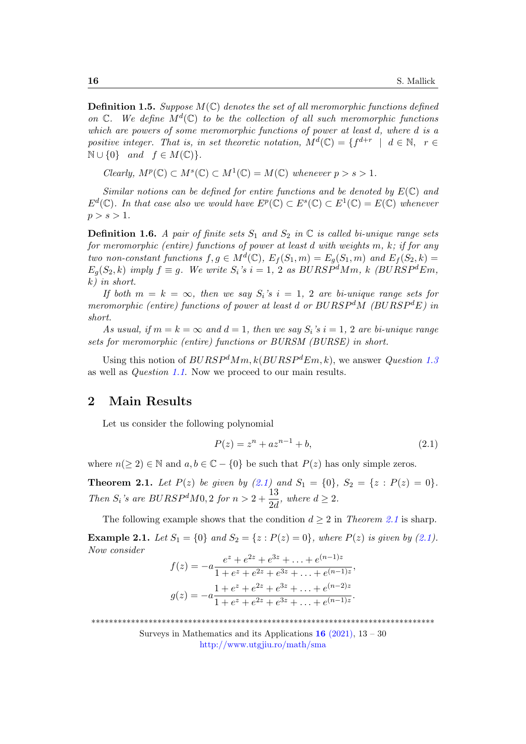**Definition 1.5.** Suppose  $M(\mathbb{C})$  denotes the set of all meromorphic functions defined on  $\mathbb{C}$ . We define  $M^d(\mathbb{C})$  to be the collection of all such meromorphic functions which are powers of some meromorphic functions of power at least d, where d is a positive integer. That is, in set theoretic notation,  $M^{d}(\mathbb{C}) = \{f^{d+r} \mid d \in \mathbb{N}, r \in$  $\mathbb{N} \cup \{0\}$  and  $f \in M(\mathbb{C})\}.$ 

 $Clearly, M^p(\mathbb{C}) \subset M^s(\mathbb{C}) \subset M^1(\mathbb{C}) = M(\mathbb{C})$  whenever  $p > s > 1$ .

Similar notions can be defined for entire functions and be denoted by  $E(\mathbb{C})$  and  $E^d(\mathbb{C})$ . In that case also we would have  $E^p(\mathbb{C}) \subset E^s(\mathbb{C}) \subset E^1(\mathbb{C}) = E(\mathbb{C})$  whenever  $p > s > 1$ .

**Definition 1.6.** A pair of finite sets  $S_1$  and  $S_2$  in  $\mathbb C$  is called bi-unique range sets for meromorphic (entire) functions of power at least d with weights m, k; if for any two non-constant functions  $f, g \in M^d(\mathbb{C}), E_f(S_1, m) = E_g(S_1, m)$  and  $E_f(S_2, k) =$  $E_q(S_2, k)$  imply  $f \equiv q$ . We write  $S_i$ 's  $i = 1, 2$  as  $BURSP^dMm$ , k  $(BURSP^dEm)$ , k) in short.

If both  $m = k = \infty$ , then we say  $S_i$ 's  $i = 1, 2$  are bi-unique range sets for meromorphic (entire) functions of power at least d or  $BURSP<sup>d</sup>M$  ( $BURSP<sup>d</sup>E$ ) in short.

As usual, if  $m = k = \infty$  and  $d = 1$ , then we say  $S_i$ 's  $i = 1, 2$  are bi-unique range sets for meromorphic (entire) functions or BURSM (BURSE) in short.

Using this notion of  $BURSP^dMm, k(BURSP^dEm, k)$ , we answer *Question [1.3](#page-2-0)* as well as Question [1.1](#page-1-1). Now we proceed to our main results.

# 2 Main Results

Let us consider the following polynomial

<span id="page-3-1"></span>
$$
P(z) = z^n + az^{n-1} + b,\t\t(2.1)
$$

where  $n(\geq 2) \in \mathbb{N}$  and  $a, b \in \mathbb{C} - \{0\}$  be such that  $P(z)$  has only simple zeros.

<span id="page-3-0"></span>**Theorem 2.1.** Let  $P(z)$  be given by [\(2.1\)](#page-3-1) and  $S_1 = \{0\}$ ,  $S_2 = \{z : P(z) = 0\}$ . Then  $S_i$ 's are BURSP<sup>d</sup>M0, 2 for  $n > 2 + \frac{13}{24}$  $\frac{16}{2d}$ , where  $d \geq 2$ .

The following example shows that the condition  $d \geq 2$  in Theorem [2.1](#page-3-0) is sharp. **Example 2.1.** Let  $S_1 = \{0\}$  and  $S_2 = \{z : P(z) = 0\}$ , where  $P(z)$  is given by [\(2.1\)](#page-3-1). Now consider

$$
f(z) = -a \frac{e^{z} + e^{2z} + e^{3z} + \ldots + e^{(n-1)z}}{1 + e^{z} + e^{2z} + e^{3z} + \ldots + e^{(n-1)z}},
$$

$$
g(z) = -a \frac{1 + e^{z} + e^{2z} + e^{3z} + \ldots + e^{(n-2)z}}{1 + e^{z} + e^{2z} + e^{3z} + \ldots + e^{(n-1)z}}.
$$

\*\*\*\*\*\*\*\*\*\*\*\*\*\*\*\*\*\*\*\*\*\*\*\*\*\*\*\*\*\*\*\*\*\*\*\*\*\*\*\*\*\*\*\*\*\*\*\*\*\*\*\*\*\*\*\*\*\*\*\*\*\*\*\*\*\*\*\*\*\*\*\*\*\*\*\*\*\*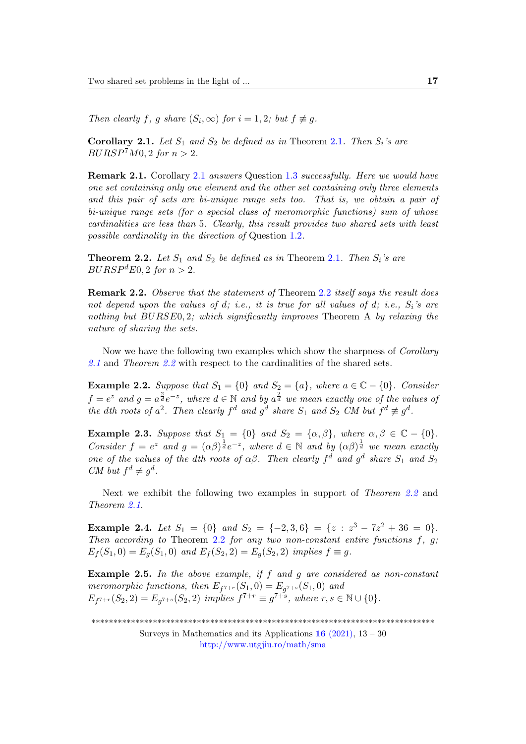Then clearly f, g share  $(S_i, \infty)$  for  $i = 1, 2$ ; but  $f \not\equiv g$ .

<span id="page-4-1"></span>Corollary [2.1](#page-3-0). Let  $S_1$  and  $S_2$  be defined as in Theorem 2.1. Then  $S_i$ 's are  $BURSP<sup>7</sup>M0, 2$  for  $n > 2$ .

Remark 2.1. Corollary [2.1](#page-4-1) answers Question [1.3](#page-2-0) successfully. Here we would have one set containing only one element and the other set containing only three elements and this pair of sets are bi-unique range sets too. That is, we obtain a pair of bi-unique range sets (for a special class of meromorphic functions) sum of whose cardinalities are less than 5. Clearly, this result provides two shared sets with least possible cardinality in the direction of Question [1.2](#page-1-0).

<span id="page-4-0"></span>**Theorem 2.2.** Let  $S_1$  and  $S_2$  be defined as in Theorem [2.1](#page-3-0). Then  $S_i$ 's are  $BURSP<sup>d</sup> E0, 2 for n > 2.$ 

Remark [2.2](#page-4-0). Observe that the statement of Theorem 2.2 itself says the result does not depend upon the values of d; i.e., it is true for all values of d; i.e.,  $S_i$ 's are nothing but  $BURSE0, 2$ ; which significantly improves Theorem A by relaxing the nature of sharing the sets.

Now we have the following two examples which show the sharpness of *Corollary* [2.1](#page-4-1) and Theorem [2.2](#page-4-0) with respect to the cardinalities of the shared sets.

**Example 2.2.** Suppose that  $S_1 = \{0\}$  and  $S_2 = \{a\}$ , where  $a \in \mathbb{C} - \{0\}$ . Consider  $f=e^z$  and  $g=a^{\frac{2}{d}}e^{-z}$ , where  $d \in \mathbb{N}$  and by  $a^{\frac{2}{d}}$  we mean exactly one of the values of the dth roots of  $a^2$ . Then clearly  $f^d$  and  $g^d$  share  $S_1$  and  $S_2$  CM but  $f^d \not\equiv g^d$ .

**Example 2.3.** Suppose that  $S_1 = \{0\}$  and  $S_2 = \{\alpha, \beta\}$ , where  $\alpha, \beta \in \mathbb{C} - \{0\}$ . Consider  $f = e^z$  and  $g = (\alpha \beta)^{\frac{1}{d}} e^{-z}$ , where  $d \in \mathbb{N}$  and by  $(\alpha \beta)^{\frac{1}{d}}$  we mean exactly one of the values of the dth roots of  $\alpha\beta$ . Then clearly  $f^d$  and  $g^d$  share  $S_1$  and  $S_2$ CM but  $f^d \neq g^d$ .

Next we exhibit the following two examples in support of Theorem [2.2](#page-4-0) and Theorem [2.1](#page-3-0).

**Example 2.4.** Let  $S_1 = \{0\}$  and  $S_2 = \{-2,3,6\} = \{z : z^3 - 7z^2 + 36 = 0\}.$ Then according to Theorem [2.2](#page-4-0) for any two non-constant entire functions  $f, g;$  $E_f(S_1, 0) = E_q(S_1, 0)$  and  $E_f(S_2, 2) = E_q(S_2, 2)$  implies  $f \equiv g$ .

**Example 2.5.** In the above example, if  $f$  and  $g$  are considered as non-constant meromorphic functions, then  $E_{f^{7+r}}(S_1,0) = E_{g^{7+s}}(S_1,0)$  and  $E_{f^{7+r}}(S_2, 2) = E_{g^{7+s}}(S_2, 2)$  implies  $f^{7+r} \equiv g^{7+s}$ , where  $r, s \in \mathbb{N} \cup \{0\}.$ 

\*\*\*\*\*\*\*\*\*\*\*\*\*\*\*\*\*\*\*\*\*\*\*\*\*\*\*\*\*\*\*\*\*\*\*\*\*\*\*\*\*\*\*\*\*\*\*\*\*\*\*\*\*\*\*\*\*\*\*\*\*\*\*\*\*\*\*\*\*\*\*\*\*\*\*\*\*\*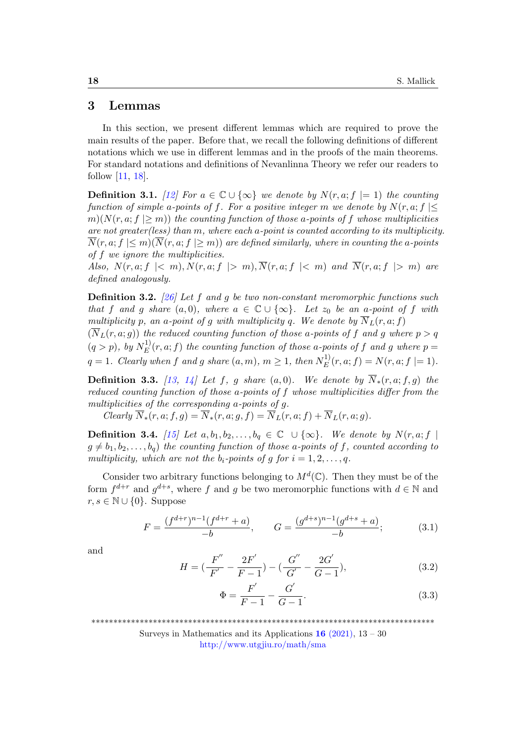#### 3 Lemmas

In this section, we present different lemmas which are required to prove the main results of the paper. Before that, we recall the following definitions of different notations which we use in different lemmas and in the proofs of the main theorems. For standard notations and definitions of Nevanlinna Theory we refer our readers to follow [\[11,](#page-15-9) [18\]](#page-16-9).

**Definition 3.1.** [\[12\]](#page-15-10) For  $a \in \mathbb{C} \cup \{\infty\}$  we denote by  $N(r, a; f \models 1)$  the counting function of simple a-points of f. For a positive integer m we denote by  $N(r, a; f) \leq$  $m(N(r, a; f \geq m))$  the counting function of those a-points of f whose multiplicities are not greater(less) than m, where each a-point is counted according to its multiplicity.  $\overline{N}(r, a; f \leq m)(\overline{N}(r, a; f \geq m))$  are defined similarly, where in counting the a-points of f we ignore the multiplicities.

Also,  $N(r, a; f \mid < m)$ ,  $N(r, a; f \mid > m)$ ,  $\overline{N}(r, a; f \mid < m)$  and  $\overline{N}(r, a; f \mid > m)$  are defined analogously.

**Definition 3.2.** [\[26\]](#page-16-10) Let f and g be two non-constant meromorphic functions such that f and g share  $(a, 0)$ , where  $a \in \mathbb{C} \cup \{\infty\}$ . Let  $z_0$  be an a-point of f with multiplicity p, an a-point of g with multiplicity q. We denote by  $\overline{N}_L(r, a; f)$ 

 $(\overline{N}_L(r, a; g))$  the reduced counting function of those a-points of f and g where  $p > q$  $(q > p), \; by \; N_E^{(1)}$  $E^{(1)}(r, a; f)$  the counting function of those a-points of f and g where  $p =$  $q = 1$ . Clearly when f and g share  $(a, m)$ ,  $m \geq 1$ , then  $N_E^{1)}$  $E^{(1)}_E(r,a;f) = N(r,a;f \mid= 1).$ 

**Definition 3.3.** [\[13,](#page-15-1) [14\]](#page-15-2) Let f, g share  $(a, 0)$ . We denote by  $\overline{N}_*(r, a; f, g)$  the reduced counting function of those a-points of f whose multiplicities differ from the multiplicities of the corresponding a-points of g.

Clearly  $\overline{N}_*(r, a; f, g) = \overline{N}_*(r, a; g, f) = \overline{N}_L(r, a; f) + \overline{N}_L(r, a; g).$ 

**Definition 3.4.** [\[15\]](#page-15-11) Let  $a, b_1, b_2, \ldots, b_q \in \mathbb{C} \cup \{\infty\}$ . We denote by  $N(r, a; f)$  $g \neq b_1, b_2, \ldots, b_q$  the counting function of those a-points of f, counted according to multiplicity, which are not the  $b_i$ -points of g for  $i = 1, 2, \ldots, q$ .

Consider two arbitrary functions belonging to  $M^d(\mathbb{C})$ . Then they must be of the form  $f^{d+r}$  and  $g^{d+s}$ , where f and g be two meromorphic functions with  $d \in \mathbb{N}$  and  $r, s \in \mathbb{N} \cup \{0\}$ . Suppose

<span id="page-5-0"></span>
$$
F = \frac{(f^{d+r})^{n-1}(f^{d+r} + a)}{-b}, \qquad G = \frac{(g^{d+s})^{n-1}(g^{d+s} + a)}{-b};
$$
(3.1)

and

$$
H = \left(\frac{F''}{F'} - \frac{2F'}{F-1}\right) - \left(\frac{G''}{G'} - \frac{2G'}{G-1}\right),\tag{3.2}
$$

<span id="page-5-1"></span>
$$
\Phi = \frac{F'}{F - 1} - \frac{G'}{G - 1}.
$$
\n(3.3)

\*\*\*\*\*\*\*\*\*\*\*\*\*\*\*\*\*\*\*\*\*\*\*\*\*\*\*\*\*\*\*\*\*\*\*\*\*\*\*\*\*\*\*\*\*\*\*\*\*\*\*\*\*\*\*\*\*\*\*\*\*\*\*\*\*\*\*\*\*\*\*\*\*\*\*\*\*\*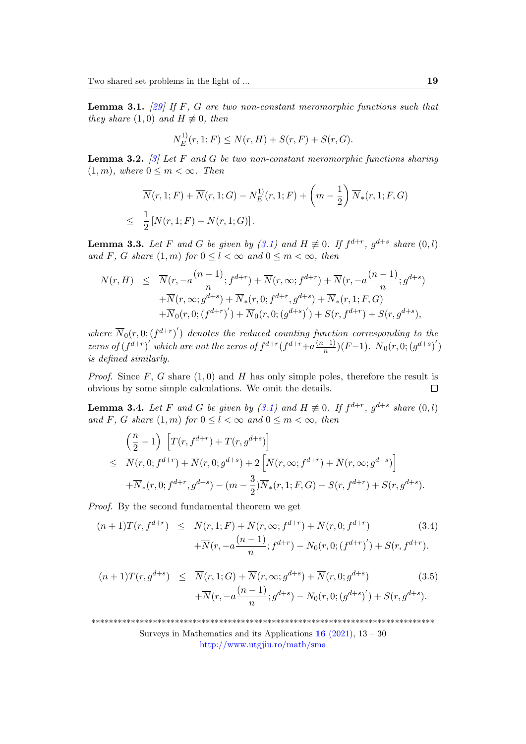<span id="page-6-3"></span>**Lemma 3.1.** [\[29\]](#page-16-11) If F, G are two non-constant meromorphic functions such that they share  $(1,0)$  and  $H \not\equiv 0$ , then

$$
N_E^{1)}(r, 1; F) \le N(r, H) + S(r, F) + S(r, G).
$$

<span id="page-6-2"></span>**Lemma 3.2.** [\[3\]](#page-14-1) Let F and G be two non-constant meromorphic functions sharing  $(1, m)$ , where  $0 \leq m < \infty$ . Then

$$
\overline{N}(r, 1; F) + \overline{N}(r, 1; G) - N_E^{(1)}(r, 1; F) + \left(m - \frac{1}{2}\right) \overline{N}_*(r, 1; F, G)
$$
  
\n
$$
\leq \frac{1}{2} [N(r, 1; F) + N(r, 1; G)].
$$

<span id="page-6-4"></span>**Lemma 3.3.** Let F and G be given by [\(3.1\)](#page-5-0) and  $H \not\equiv 0$ . If  $f^{d+r}$ ,  $g^{d+s}$  share  $(0, l)$ and F, G share  $(1, m)$  for  $0 \leq l < \infty$  and  $0 \leq m < \infty$ , then

$$
N(r, H) \leq \overline{N}(r, -a\frac{(n-1)}{n}; f^{d+r}) + \overline{N}(r, \infty; f^{d+r}) + \overline{N}(r, -a\frac{(n-1)}{n}; g^{d+s}) + \overline{N}(r, \infty; g^{d+s}) + \overline{N}_*(r, 0; f^{d+r}, g^{d+s}) + \overline{N}_*(r, 1; F, G) + \overline{N}_0(r, 0; (f^{d+r})') + \overline{N}_0(r, 0; (g^{d+s})') + S(r, f^{d+r}) + S(r, g^{d+s}),
$$

where  $\overline{N}_0(r,0;(f^{d+r})')$  denotes the reduced counting function corresponding to the zeros of  $(f^{d+r})'$  which are not the zeros of  $f^{d+r}(f^{d+r}+a^{(n-1)}')$  $\frac{-1)}{n}$  $(F-1)$ .  $\overline{N}_0(r, 0; (g^{d+s})')$ is defined similarly.

*Proof.* Since  $F$ ,  $G$  share  $(1,0)$  and  $H$  has only simple poles, therefore the result is obvious by some simple calculations. We omit the details.  $\Box$ 

<span id="page-6-5"></span>**Lemma 3.4.** Let F and G be given by [\(3.1\)](#page-5-0) and  $H \not\equiv 0$ . If  $f^{d+r}$ ,  $g^{d+s}$  share  $(0, l)$ and F, G share  $(1, m)$  for  $0 \leq l \leq \infty$  and  $0 \leq m \leq \infty$ , then

$$
\begin{aligned}\n&\left(\frac{n}{2} - 1\right) \left[ T(r, f^{d+r}) + T(r, g^{d+s}) \right] \\
&\leq \overline{N}(r, 0; f^{d+r}) + \overline{N}(r, 0; g^{d+s}) + 2 \left[ \overline{N}(r, \infty; f^{d+r}) + \overline{N}(r, \infty; g^{d+s}) \right] \\
&\quad + \overline{N}_*(r, 0; f^{d+r}, g^{d+s}) - (m - \frac{3}{2}) \overline{N}_*(r, 1; F, G) + S(r, f^{d+r}) + S(r, g^{d+s}).\n\end{aligned}
$$

Proof. By the second fundamental theorem we get

<span id="page-6-0"></span>
$$
(n+1)T(r, f^{d+r}) \leq \overline{N}(r, 1; F) + \overline{N}(r, \infty; f^{d+r}) + \overline{N}(r, 0; f^{d+r})
$$
\n
$$
+ \overline{N}(r, -a\frac{(n-1)}{n}; f^{d+r}) - N_0(r, 0; (f^{d+r})') + S(r, f^{d+r}).
$$
\n(3.4)

<span id="page-6-1"></span>
$$
(n+1)T(r,g^{d+s}) \leq \overline{N}(r,1;G) + \overline{N}(r,\infty;g^{d+s}) + \overline{N}(r,0;g^{d+s})
$$
\n
$$
+ \overline{N}(r,-a\frac{(n-1)}{n};g^{d+s}) - N_0(r,0;(g^{d+s})') + S(r,g^{d+s}).
$$
\n(3.5)

\*\*\*\*\*\*\*\*\*\*\*\*\*\*\*\*\*\*\*\*\*\*\*\*\*\*\*\*\*\*\*\*\*\*\*\*\*\*\*\*\*\*\*\*\*\*\*\*\*\*\*\*\*\*\*\*\*\*\*\*\*\*\*\*\*\*\*\*\*\*\*\*\*\*\*\*\*\*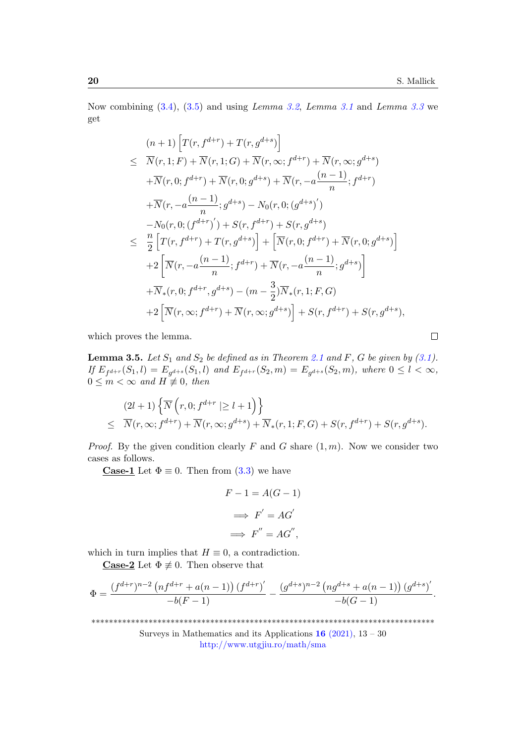$\Box$ 

Now combining  $(3.4)$ ,  $(3.5)$  and using *Lemma [3.2](#page-6-2)*, *Lemma [3.1](#page-6-3)* and *Lemma [3.3](#page-6-4)* we get

$$
(n+1)\left[T(r, f^{d+r}) + T(r, g^{d+s})\right]
$$
  
\n
$$
\leq \overline{N}(r, 1; F) + \overline{N}(r, 1; G) + \overline{N}(r, \infty; f^{d+r}) + \overline{N}(r, \infty; g^{d+s})
$$
  
\n
$$
+ \overline{N}(r, 0; f^{d+r}) + \overline{N}(r, 0; g^{d+s}) + \overline{N}(r, -a \frac{(n-1)}{n}; f^{d+r})
$$
  
\n
$$
+ \overline{N}(r, -a \frac{(n-1)}{n}; g^{d+s}) - N_0(r, 0; (g^{d+s})')
$$
  
\n
$$
- N_0(r, 0; (f^{d+r})') + S(r, f^{d+r}) + S(r, g^{d+s})
$$
  
\n
$$
\leq \frac{n}{2} \left[T(r, f^{d+r}) + T(r, g^{d+s})\right] + \left[\overline{N}(r, 0; f^{d+r}) + \overline{N}(r, 0; g^{d+s})\right]
$$
  
\n
$$
+ 2 \left[\overline{N}(r, -a \frac{(n-1)}{n}; f^{d+r}) + \overline{N}(r, -a \frac{(n-1)}{n}; g^{d+s})\right]
$$
  
\n
$$
+ \overline{N}_*(r, 0; f^{d+r}, g^{d+s}) - (m - \frac{3}{2})\overline{N}_*(r, 1; F, G)
$$
  
\n
$$
+ 2 \left[\overline{N}(r, \infty; f^{d+r}) + \overline{N}(r, \infty; g^{d+s})\right] + S(r, f^{d+r}) + S(r, g^{d+s}),
$$

which proves the lemma.

<span id="page-7-0"></span>**Lemma 3.5.** Let  $S_1$  and  $S_2$  be defined as in Theorem [2.1](#page-3-0) and F, G be given by [\(3.1\)](#page-5-0). If  $E_{f^{d+r}}(S_1, l) = E_{g^{d+s}}(S_1, l)$  and  $E_{f^{d+r}}(S_2, m) = E_{g^{d+s}}(S_2, m)$ , where  $0 \leq l < \infty$ ,  $0 \leq m < \infty$  and  $H \not\equiv 0$ , then

$$
(2l+1)\left\{\overline{N}\left(r,0; f^{d+r} \mid \geq l+1\right)\right\}
$$
  
\$\leq \overline{N}(r,\infty; f^{d+r}) + \overline{N}(r,\infty; g^{d+s}) + \overline{N}\_\*(r,1;F,G) + S(r, f^{d+r}) + S(r, g^{d+s}).\$

*Proof.* By the given condition clearly F and G share  $(1, m)$ . Now we consider two cases as follows.

**Case-1** Let  $\Phi \equiv 0$ . Then from [\(3.3\)](#page-5-1) we have

$$
F - 1 = A(G - 1)
$$

$$
\implies F' = AG'
$$

$$
\implies F'' = AG'',
$$

which in turn implies that  $H \equiv 0$ , a contradiction.

**Case-2** Let  $\Phi \neq 0$ . Then observe that

$$
\Phi = \frac{(f^{d+r})^{n-2} \left( nf^{d+r} + a(n-1) \right) (f^{d+r})'}{-b(F-1)} - \frac{(g^{d+s})^{n-2} \left( ng^{d+s} + a(n-1) \right) (g^{d+s})'}{-b(G-1)}.
$$

\*\*\*\*\*\*\*\*\*\*\*\*\*\*\*\*\*\*\*\*\*\*\*\*\*\*\*\*\*\*\*\*\*\*\*\*\*\*\*\*\*\*\*\*\*\*\*\*\*\*\*\*\*\*\*\*\*\*\*\*\*\*\*\*\*\*\*\*\*\*\*\*\*\*\*\*\*\*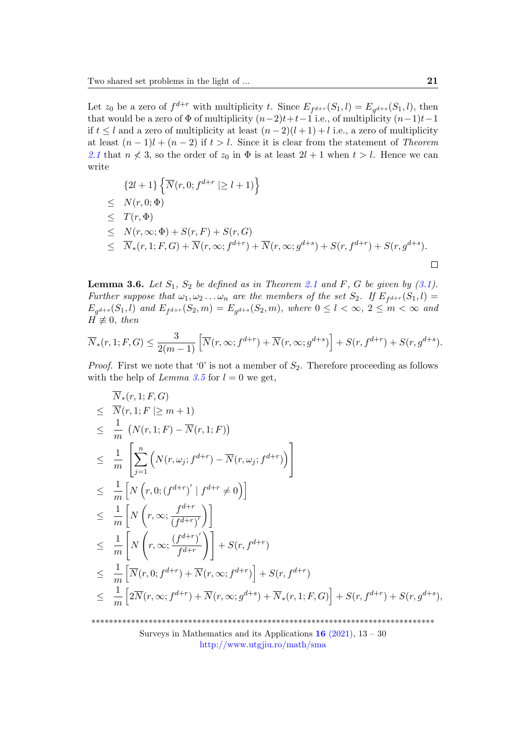Let  $z_0$  be a zero of  $f^{d+r}$  with multiplicity t. Since  $E_{f^{d+r}}(S_1, l) = E_{g^{d+s}}(S_1, l)$ , then that would be a zero of  $\Phi$  of multiplicity  $(n-2)t+t-1$  i.e., of multiplicity  $(n-1)t-1$ if  $t \leq l$  and a zero of multiplicity at least  $(n-2)(l+1) + l$  i.e., a zero of multiplicity at least  $(n-1)l + (n-2)$  if  $t > l$ . Since it is clear from the statement of Theorem [2.1](#page-3-0) that  $n \nless 3$ , so the order of  $z_0$  in  $\Phi$  is at least  $2l + 1$  when  $t > l$ . Hence we can write

$$
\{2l+1\} \{\overline{N}(r, 0; f^{d+r} \mid \ge l+1)\}
$$
  
\n
$$
\leq N(r, 0; \Phi)
$$
  
\n
$$
\leq T(r, \Phi)
$$
  
\n
$$
\leq N(r, \infty; \Phi) + S(r, F) + S(r, G)
$$
  
\n
$$
\leq \overline{N}_*(r, 1; F, G) + \overline{N}(r, \infty; f^{d+r}) + \overline{N}(r, \infty; g^{d+s}) + S(r, f^{d+r}) + S(r, g^{d+s}).
$$

<span id="page-8-0"></span>**Lemma 3.6.** Let  $S_1$ ,  $S_2$  be defined as in Theorem [2.1](#page-3-0) and F, G be given by [\(3.1\)](#page-5-0). Further suppose that  $\omega_1, \omega_2 \ldots \omega_n$  are the members of the set  $S_2$ . If  $E_{f^{d+r}}(S_1, l) =$  $E_{g^{d+s}}(S_1, l)$  and  $E_{f^{d+r}}(S_2, m) = E_{g^{d+s}}(S_2, m)$ , where  $0 \le l < \infty$ ,  $2 \le m < \infty$  and  $H \not\equiv 0$ , then

$$
\overline{N}_*(r, 1; F, G) \le \frac{3}{2(m-1)} \left[ \overline{N}(r, \infty; f^{d+r}) + \overline{N}(r, \infty; g^{d+s}) \right] + S(r, f^{d+r}) + S(r, g^{d+s}).
$$

*Proof.* First we note that '0' is not a member of  $S_2$ . Therefore proceeding as follows with the help of *Lemma [3.5](#page-7-0)* for  $l = 0$  we get,

$$
\overline{N}_{*}(r,1; F, G)
$$
\n
$$
\leq \overline{N}(r,1; F \mid \geq m+1)
$$
\n
$$
\leq \frac{1}{m} \left( N(r,1; F) - \overline{N}(r,1; F) \right)
$$
\n
$$
\leq \frac{1}{m} \left[ \sum_{j=1}^{n} \left( N(r, \omega_{j}; f^{d+r}) - \overline{N}(r, \omega_{j}; f^{d+r}) \right) \right]
$$
\n
$$
\leq \frac{1}{m} \left[ N(r,0; (f^{d+r})' \mid f^{d+r} \neq 0) \right]
$$
\n
$$
\leq \frac{1}{m} \left[ N(r, \infty; \frac{f^{d+r}}{(f^{d+r})}) \right]
$$
\n
$$
\leq \frac{1}{m} \left[ N(r, \infty; \frac{(f^{d+r})'}{f^{d+r}}) \right] + S(r, f^{d+r})
$$
\n
$$
\leq \frac{1}{m} \left[ \overline{N}(r, 0; f^{d+r}) + \overline{N}(r, \infty; f^{d+r}) \right] + S(r, f^{d+r})
$$
\n
$$
\leq \frac{1}{m} \left[ 2\overline{N}(r, \infty; f^{d+r}) + \overline{N}(r, \infty; g^{d+s}) + \overline{N}_{*}(r, 1; F, G) \right] + S(r, f^{d+r}) + S(r, g^{d+s}),
$$

\*\*\*\*\*\*\*\*\*\*\*\*\*\*\*\*\*\*\*\*\*\*\*\*\*\*\*\*\*\*\*\*\*\*\*\*\*\*\*\*\*\*\*\*\*\*\*\*\*\*\*\*\*\*\*\*\*\*\*\*\*\*\*\*\*\*\*\*\*\*\*\*\*\*\*\*\*\*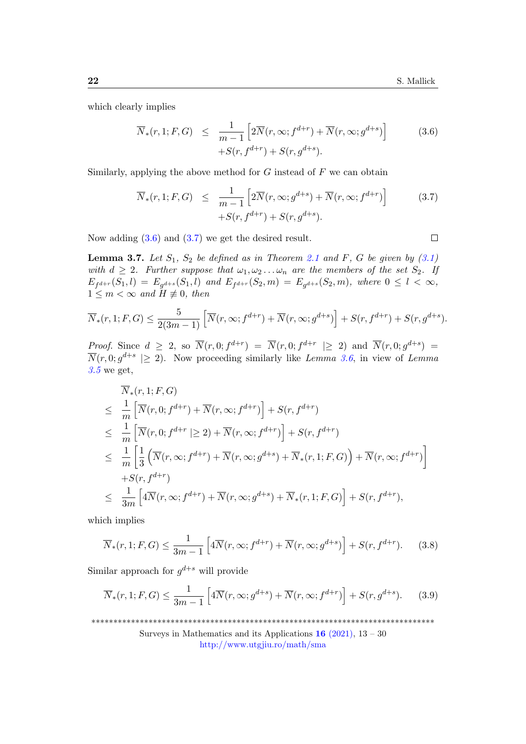$\Box$ 

which clearly implies

<span id="page-9-0"></span>
$$
\overline{N}_*(r, 1; F, G) \leq \frac{1}{m-1} \left[ 2\overline{N}(r, \infty; f^{d+r}) + \overline{N}(r, \infty; g^{d+s}) \right] \tag{3.6}
$$
\n
$$
+S(r, f^{d+r}) + S(r, g^{d+s}).
$$

Similarly, applying the above method for  $G$  instead of  $F$  we can obtain

<span id="page-9-1"></span>
$$
\overline{N}_*(r, 1; F, G) \leq \frac{1}{m-1} \left[ 2\overline{N}(r, \infty; g^{d+s}) + \overline{N}(r, \infty; f^{d+r}) \right] \tag{3.7}
$$
\n
$$
+ S(r, f^{d+r}) + S(r, g^{d+s}).
$$

Now adding  $(3.6)$  and  $(3.7)$  we get the desired result.

<span id="page-9-4"></span>**Lemma 3.7.** Let  $S_1$ ,  $S_2$  be defined as in Theorem [2.1](#page-3-0) and F, G be given by [\(3.1\)](#page-5-0) with  $d \geq 2$ . Further suppose that  $\omega_1, \omega_2 \ldots \omega_n$  are the members of the set  $S_2$ . If  $E_{f^{d+r}}(S_1, l) = E_{g^{d+s}}(S_1, l)$  and  $E_{f^{d+r}}(S_2, m) = E_{g^{d+s}}(S_2, m)$ , where  $0 \leq l < \infty$ ,  $1 \leq m < \infty$  and  $H \not\equiv 0$ , then

$$
\overline{N}_*(r, 1; F, G) \le \frac{5}{2(3m-1)} \left[ \overline{N}(r, \infty; f^{d+r}) + \overline{N}(r, \infty; g^{d+s}) \right] + S(r, f^{d+r}) + S(r, g^{d+s}).
$$

*Proof.* Since  $d \geq 2$ , so  $\overline{N}(r,0; f^{d+r}) = \overline{N}(r,0; f^{d+r} \geq 2)$  and  $\overline{N}(r,0; g^{d+s}) =$  $\overline{N}(r,0;g^{d+s} \geq 2)$ . Now proceeding similarly like Lemma [3.6](#page-8-0), in view of Lemma  $3.5$  we get,

$$
\overline{N}_{*}(r,1;F,G)
$$
\n
$$
\leq \frac{1}{m} \left[ \overline{N}(r,0; f^{d+r}) + \overline{N}(r,\infty; f^{d+r}) \right] + S(r, f^{d+r})
$$
\n
$$
\leq \frac{1}{m} \left[ \overline{N}(r,0; f^{d+r} \mid \geq 2) + \overline{N}(r,\infty; f^{d+r}) \right] + S(r, f^{d+r})
$$
\n
$$
\leq \frac{1}{m} \left[ \frac{1}{3} \left( \overline{N}(r,\infty; f^{d+r}) + \overline{N}(r,\infty; g^{d+s}) + \overline{N}_{*}(r,1;F,G) \right) + \overline{N}(r,\infty; f^{d+r}) \right]
$$
\n
$$
+ S(r, f^{d+r})
$$
\n
$$
\leq \frac{1}{3m} \left[ 4\overline{N}(r,\infty; f^{d+r}) + \overline{N}(r,\infty; g^{d+s}) + \overline{N}_{*}(r,1;F,G) \right] + S(r, f^{d+r}),
$$

which implies

<span id="page-9-2"></span>
$$
\overline{N}_*(r,1;F,G) \le \frac{1}{3m-1} \left[ 4\overline{N}(r,\infty;f^{d+r}) + \overline{N}(r,\infty;g^{d+s}) \right] + S(r,f^{d+r}).\tag{3.8}
$$

Similar approach for  $g^{d+s}$  will provide

<span id="page-9-3"></span>
$$
\overline{N}_*(r, 1; F, G) \le \frac{1}{3m - 1} \left[ 4\overline{N}(r, \infty; g^{d+s}) + \overline{N}(r, \infty; f^{d+r}) \right] + S(r, g^{d+s}). \tag{3.9}
$$

\*\*\*\*\*\*\*\*\*\*\*\*\*\*\*\*\*\*\*\*\*\*\*\*\*\*\*\*\*\*\*\*\*\*\*\*\*\*\*\*\*\*\*\*\*\*\*\*\*\*\*\*\*\*\*\*\*\*\*\*\*\*\*\*\*\*\*\*\*\*\*\*\*\*\*\*\*\*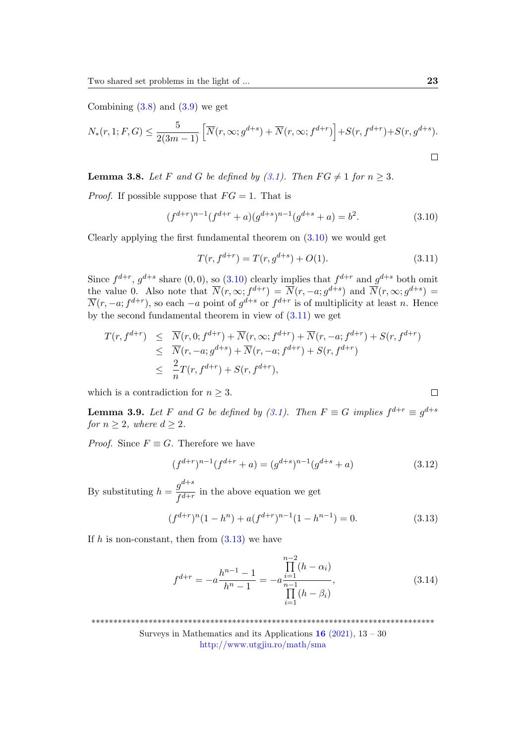Combining  $(3.8)$  and  $(3.9)$  we get

$$
N_*(r, 1; F, G) \le \frac{5}{2(3m-1)} \left[ \overline{N}(r, \infty; g^{d+s}) + \overline{N}(r, \infty; f^{d+r}) \right] + S(r, f^{d+r}) + S(r, g^{d+s}).
$$

<span id="page-10-6"></span>**Lemma 3.8.** Let F and G be defined by  $(3.1)$ . Then  $FG \neq 1$  for  $n \geq 3$ .

*Proof.* If possible suppose that  $FG = 1$ . That is

<span id="page-10-0"></span>
$$
(f^{d+r})^{n-1}(f^{d+r} + a)(g^{d+s})^{n-1}(g^{d+s} + a) = b^2.
$$
\n(3.10)

Clearly applying the first fundamental theorem on  $(3.10)$  we would get

<span id="page-10-1"></span>
$$
T(r, f^{d+r}) = T(r, g^{d+s}) + O(1). \tag{3.11}
$$

Since  $f^{d+r}$ ,  $g^{d+s}$  share  $(0,0)$ , so  $(3.10)$  clearly implies that  $f^{d+r}$  and  $g^{d+s}$  both omit the value 0. Also note that  $\overline{N}(r,\infty; f^{d+r}) = \overline{N}(r,-a; g^{d+s})$  and  $\overline{N}(r,\infty; g^{d+s}) =$  $\overline{N}(r, -a; f^{d+r})$ , so each  $-a$  point of  $g^{d+s}$  or  $f^{d+r}$  is of multiplicity at least n. Hence by the second fundamental theorem in view of  $(3.11)$  we get

$$
T(r, f^{d+r}) \leq \overline{N}(r, 0; f^{d+r}) + \overline{N}(r, \infty; f^{d+r}) + \overline{N}(r, -a; f^{d+r}) + S(r, f^{d+r})
$$
  
\n
$$
\leq \overline{N}(r, -a; g^{d+s}) + \overline{N}(r, -a; f^{d+r}) + S(r, f^{d+r})
$$
  
\n
$$
\leq \frac{2}{n}T(r, f^{d+r}) + S(r, f^{d+r}),
$$

which is a contradiction for  $n \geq 3$ .

<span id="page-10-5"></span>**Lemma 3.9.** Let F and G be defined by [\(3.1\)](#page-5-0). Then  $F \equiv G$  implies  $f^{d+r} \equiv g^{d+s}$ for  $n \geq 2$ , where  $d \geq 2$ .

*Proof.* Since  $F \equiv G$ . Therefore we have

<span id="page-10-4"></span>
$$
(f^{d+r})^{n-1}(f^{d+r} + a) = (g^{d+s})^{n-1}(g^{d+s} + a)
$$
\n(3.12)

By substituting  $h = \frac{g^{d+s}}{c d+s}$  $\frac{g}{f^{d+r}}$  in the above equation we get

<span id="page-10-2"></span>
$$
(f^{d+r})^n(1-h^n) + a(f^{d+r})^{n-1}(1-h^{n-1}) = 0.
$$
\n(3.13)

If h is non-constant, then from  $(3.13)$  we have

<span id="page-10-3"></span>
$$
f^{d+r} = -a \frac{h^{n-1} - 1}{h^n - 1} = -a \frac{\prod_{i=1}^{n-2} (h - \alpha_i)}{\prod_{i=1}^{n-1} (h - \beta_i)},
$$
(3.14)

\*\*\*\*\*\*\*\*\*\*\*\*\*\*\*\*\*\*\*\*\*\*\*\*\*\*\*\*\*\*\*\*\*\*\*\*\*\*\*\*\*\*\*\*\*\*\*\*\*\*\*\*\*\*\*\*\*\*\*\*\*\*\*\*\*\*\*\*\*\*\*\*\*\*\*\*\*\*

$$
\Box
$$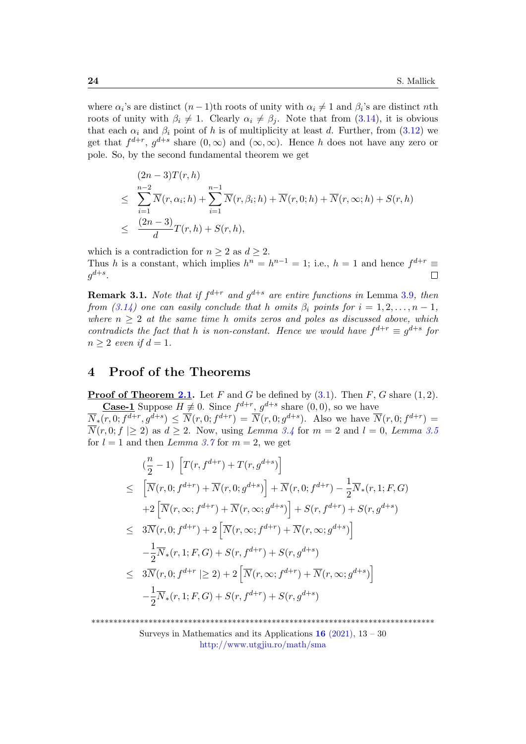where  $\alpha_i$ 's are distinct  $(n-1)$ th roots of unity with  $\alpha_i \neq 1$  and  $\beta_i$ 's are distinct nth roots of unity with  $\beta_i \neq 1$ . Clearly  $\alpha_i \neq \beta_j$ . Note that from [\(3.14\)](#page-10-3), it is obvious that each  $\alpha_i$  and  $\beta_i$  point of h is of multiplicity at least d. Further, from [\(3.12\)](#page-10-4) we get that  $f^{d+r}$ ,  $g^{d+s}$  share  $(0,\infty)$  and  $(\infty,\infty)$ . Hence h does not have any zero or pole. So, by the second fundamental theorem we get

$$
(2n-3)T(r,h)
$$
  
\n
$$
\leq \sum_{i=1}^{n-2} \overline{N}(r, \alpha_i; h) + \sum_{i=1}^{n-1} \overline{N}(r, \beta_i; h) + \overline{N}(r, 0; h) + \overline{N}(r, \infty; h) + S(r, h)
$$
  
\n
$$
\leq \frac{(2n-3)}{d}T(r, h) + S(r, h),
$$

which is a contradiction for  $n \geq 2$  as  $d \geq 2$ . Thus h is a constant, which implies  $h^n = h^{n-1} = 1$ ; i.e.,  $h = 1$  and hence  $f^{d+r} \equiv$  $g^{d+s}.$  $\Box$ 

<span id="page-11-0"></span>**Remark 3.1.** Note that if  $f^{d+r}$  and  $g^{d+s}$  are entire functions in Lemma [3.9](#page-10-5), then from [\(3.14\)](#page-10-3) one can easily conclude that h omits  $\beta_i$  points for  $i = 1, 2, \ldots, n - 1$ , where  $n \geq 2$  at the same time h omits zeros and poles as discussed above, which contradicts the fact that h is non-constant. Hence we would have  $f^{d+r} \equiv g^{d+s}$  for  $n \geq 2$  even if  $d = 1$ .

## 4 Proof of the Theorems

**Proof of Theorem [2.1.](#page-3-0)** Let F and G be defined by  $(3.1)$ . Then F, G share  $(1, 2)$ . **Case-1** Suppose  $H \neq 0$ . Since  $f^{d+r}$ ,  $g^{d+s}$  share  $(0,0)$ , so we have

 $\overline{N}_*(r,0;f^{d+r},g^{d+s}) \leq \overline{N}(r,0;f^{d+r}) = \overline{N}(r,0;g^{d+s})$ . Also we have  $\overline{N}(r,0;f^{d+r}) =$  $\overline{N}(r, 0; f \ge 2)$  as  $d \ge 2$ . Now, using *Lemma [3.4](#page-6-5)* for  $m = 2$  and  $l = 0$ , *Lemma [3.5](#page-7-0)* for  $l = 1$  and then Lemma [3.7](#page-9-4) for  $m = 2$ , we get

$$
\begin{split}\n&\left(\frac{n}{2}-1\right)\left[T(r,f^{d+r})+T(r,g^{d+s})\right] \\
&\leq \left[\overline{N}(r,0;f^{d+r})+\overline{N}(r,0;g^{d+s})\right]+\overline{N}(r,0;f^{d+r})-\frac{1}{2}\overline{N}_*(r,1;F,G) \\
&+2\left[\overline{N}(r,\infty;f^{d+r})+\overline{N}(r,\infty;g^{d+s})\right]+S(r,f^{d+r})+S(r,g^{d+s}) \\
&\leq 3\overline{N}(r,0;f^{d+r})+2\left[\overline{N}(r,\infty;f^{d+r})+\overline{N}(r,\infty;g^{d+s})\right] \\
&-\frac{1}{2}\overline{N}_*(r,1;F,G)+S(r,f^{d+r})+S(r,g^{d+s}) \\
&\leq 3\overline{N}(r,0;f^{d+r} \mid\geq 2)+2\left[\overline{N}(r,\infty;f^{d+r})+\overline{N}(r,\infty;g^{d+s})\right] \\
&-\frac{1}{2}\overline{N}_*(r,1;F,G)+S(r,f^{d+r})+S(r,g^{d+s})\n\end{split}
$$

\*\*\*\*\*\*\*\*\*\*\*\*\*\*\*\*\*\*\*\*\*\*\*\*\*\*\*\*\*\*\*\*\*\*\*\*\*\*\*\*\*\*\*\*\*\*\*\*\*\*\*\*\*\*\*\*\*\*\*\*\*\*\*\*\*\*\*\*\*\*\*\*\*\*\*\*\*\*

Surveys in Mathematics and its Applications  $16$  [\(2021\),](http://www.utgjiu.ro/math/sma/v16/v16.html)  $13 - 30$ <http://www.utgjiu.ro/math/sma>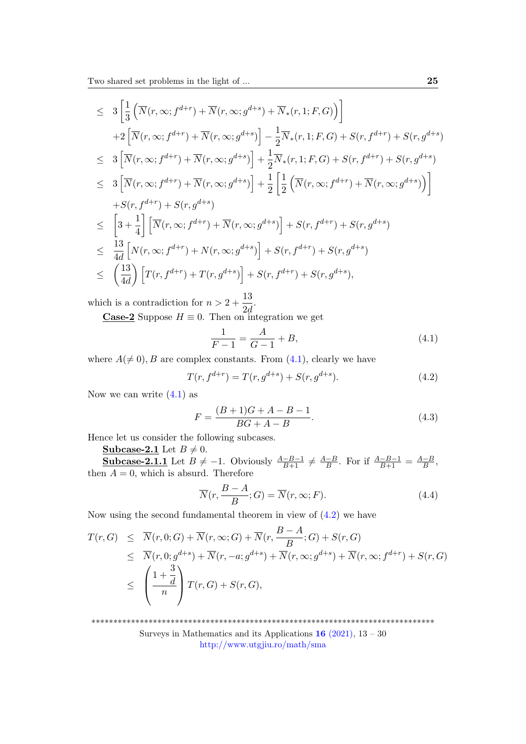Two shared set problems in the light of ... 25

$$
\leq 3 \left[ \frac{1}{3} \left( \overline{N}(r, \infty; f^{d+r}) + \overline{N}(r, \infty; g^{d+s}) + \overline{N}_*(r, 1; F, G) \right) \right]
$$
  
+2  $\left[ \overline{N}(r, \infty; f^{d+r}) + \overline{N}(r, \infty; g^{d+s}) \right] - \frac{1}{2} \overline{N}_*(r, 1; F, G) + S(r, f^{d+r}) + S(r, g^{d+s})$   

$$
\leq 3 \left[ \overline{N}(r, \infty; f^{d+r}) + \overline{N}(r, \infty; g^{d+s}) \right] + \frac{1}{2} \overline{N}_*(r, 1; F, G) + S(r, f^{d+r}) + S(r, g^{d+s})
$$
  

$$
\leq 3 \left[ \overline{N}(r, \infty; f^{d+r}) + \overline{N}(r, \infty; g^{d+s}) \right] + \frac{1}{2} \left[ \frac{1}{2} \left( \overline{N}(r, \infty; f^{d+r}) + \overline{N}(r, \infty; g^{d+s}) \right) \right]
$$
  
+S(r, f^{d+r}) + S(r, g^{d+s})  

$$
\leq \left[ 3 + \frac{1}{4} \right] \left[ \overline{N}(r, \infty; f^{d+r}) + \overline{N}(r, \infty; g^{d+s}) \right] + S(r, f^{d+r}) + S(r, g^{d+s})
$$
  

$$
\leq \frac{13}{4d} \left[ N(r, \infty; f^{d+r}) + N(r, \infty; g^{d+s}) \right] + S(r, f^{d+r}) + S(r, g^{d+s})
$$
  

$$
\leq \left( \frac{13}{4d} \right) \left[ T(r, f^{d+r}) + T(r, g^{d+s}) \right] + S(r, f^{d+r}) + S(r, g^{d+s}),
$$

which is a contradiction for  $n > 2 + \frac{13}{24}$  $rac{16}{2d}$ .

**Case-2** Suppose  $H \equiv 0$ . Then on integration we get

<span id="page-12-0"></span>
$$
\frac{1}{F-1} = \frac{A}{G-1} + B,\tag{4.1}
$$

where  $A(\neq 0), B$  are complex constants. From  $(4.1)$ , clearly we have

<span id="page-12-1"></span>
$$
T(r, f^{d+r}) = T(r, g^{d+s}) + S(r, g^{d+s}).
$$
\n(4.2)

Now we can write  $(4.1)$  as

<span id="page-12-2"></span>
$$
F = \frac{(B+1)G + A - B - 1}{BG + A - B}.
$$
\n(4.3)

Hence let us consider the following subcases.

**Subcase-2.1** Let  $B \neq 0$ .

**Subcase-2.1.1** Let  $B \neq -1$ . Obviously  $\frac{A-B-1}{B+1} \neq \frac{A-B}{B}$  $\frac{-B}{B}$ . For if  $\frac{A-B-1}{B+1} = \frac{A-B}{B}$  $\frac{-B}{B}$ then  $A = 0$ , which is absurd. Therefore

$$
\overline{N}(r, \frac{B-A}{B}; G) = \overline{N}(r, \infty; F).
$$
\n(4.4)

Now using the second fundamental theorem in view of [\(4.2\)](#page-12-1) we have

$$
T(r, G) \leq \overline{N}(r, 0; G) + \overline{N}(r, \infty; G) + \overline{N}(r, \frac{B - A}{B}; G) + S(r, G)
$$
  
\n
$$
\leq \overline{N}(r, 0; g^{d+s}) + \overline{N}(r, -a; g^{d+s}) + \overline{N}(r, \infty; g^{d+s}) + \overline{N}(r, \infty; f^{d+r}) + S(r, G)
$$
  
\n
$$
\leq \left(\frac{1 + \frac{3}{d}}{n}\right) T(r, G) + S(r, G),
$$

\*\*\*\*\*\*\*\*\*\*\*\*\*\*\*\*\*\*\*\*\*\*\*\*\*\*\*\*\*\*\*\*\*\*\*\*\*\*\*\*\*\*\*\*\*\*\*\*\*\*\*\*\*\*\*\*\*\*\*\*\*\*\*\*\*\*\*\*\*\*\*\*\*\*\*\*\*\*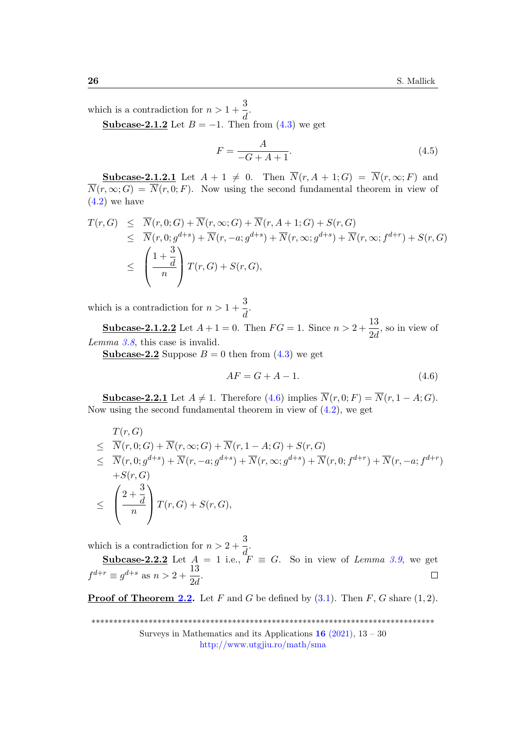which is a contradiction for  $n > 1 + \frac{3}{4}$  $\frac{3}{d}$ .

**Subcase-2.1.2** Let  $B = -1$ . Then from [\(4.3\)](#page-12-2) we get

$$
F = \frac{A}{-G + A + 1}.\tag{4.5}
$$

**Subcase-2.1.2.1** Let  $A + 1 \neq 0$ . Then  $\overline{N}(r, A + 1; G) = \overline{N}(r, \infty; F)$  and  $\overline{N}(r, \infty; G) = \overline{N}(r, 0; F)$ . Now using the second fundamental theorem in view of  $(4.2)$  we have

$$
T(r, G) \leq \overline{N}(r, 0; G) + \overline{N}(r, \infty; G) + \overline{N}(r, A + 1; G) + S(r, G)
$$
  
\n
$$
\leq \overline{N}(r, 0; g^{d+s}) + \overline{N}(r, -a; g^{d+s}) + \overline{N}(r, \infty; g^{d+s}) + \overline{N}(r, \infty; f^{d+r}) + S(r, G)
$$
  
\n
$$
\leq \left(\frac{1 + \frac{3}{d}}{n}\right) T(r, G) + S(r, G),
$$

which is a contradiction for  $n > 1 + \frac{3}{4}$  $\frac{3}{d}$ .

**Subcase-2.1.2.2** Let  $A + 1 = 0$ . Then  $FG = 1$ . Since  $n > 2 + \frac{13}{21}$  $\frac{1}{2d}$ , so in view of Lemma [3.8](#page-10-6), this case is invalid.

**Subcase-2.2** Suppose  $B = 0$  then from  $(4.3)$  we get

<span id="page-13-0"></span>
$$
AF = G + A - 1.\tag{4.6}
$$

**Subcase-2.2.1** Let  $A \neq 1$ . Therefore [\(4.6\)](#page-13-0) implies  $\overline{N}(r, 0; F) = \overline{N}(r, 1 - A; G)$ . Now using the second fundamental theorem in view of [\(4.2\)](#page-12-1), we get

$$
T(r, G)
$$
  
\n
$$
\leq \overline{N}(r, 0; G) + \overline{N}(r, \infty; G) + \overline{N}(r, 1 - A; G) + S(r, G)
$$
  
\n
$$
\leq \overline{N}(r, 0; g^{d+s}) + \overline{N}(r, -a; g^{d+s}) + \overline{N}(r, \infty; g^{d+s}) + \overline{N}(r, 0; f^{d+r}) + \overline{N}(r, -a; f^{d+r})
$$
  
\n
$$
+S(r, G)
$$
  
\n
$$
\leq \left(\frac{2 + \frac{3}{d}}{n}\right) T(r, G) + S(r, G),
$$

which is a contradiction for  $n > 2 + \frac{3}{4}$  $\frac{a}{d}$ .

Subcase-2.2.2 Let  $A = 1$  i.e.,  $F \equiv G$ . So in view of Lemma [3.9](#page-10-5), we get  $f^{d+r} \equiv g^{d+s} \text{ as } n > 2 + \frac{13}{24}$  $\frac{15}{2d}$ .

**Proof of Theorem [2.2.](#page-4-0)** Let F and G be defined by  $(3.1)$ . Then F, G share  $(1, 2)$ .

\*\*\*\*\*\*\*\*\*\*\*\*\*\*\*\*\*\*\*\*\*\*\*\*\*\*\*\*\*\*\*\*\*\*\*\*\*\*\*\*\*\*\*\*\*\*\*\*\*\*\*\*\*\*\*\*\*\*\*\*\*\*\*\*\*\*\*\*\*\*\*\*\*\*\*\*\*\*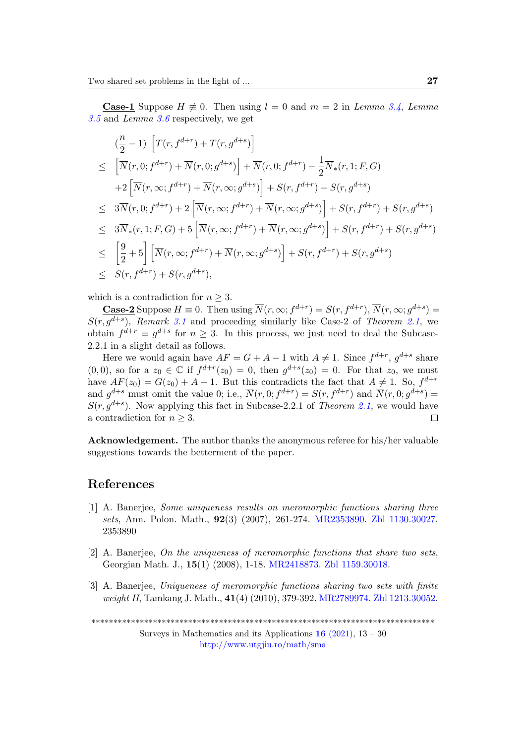**Case-1** Suppose  $H \neq 0$ . Then using  $l = 0$  and  $m = 2$  in Lemma [3.4](#page-6-5), Lemma [3.5](#page-7-0) and Lemma [3.6](#page-8-0) respectively, we get

$$
\begin{split}\n&\left(\frac{n}{2}-1\right)\left[T(r,f^{d+r})+T(r,g^{d+s})\right] \\
&\leq \left[\overline{N}(r,0;f^{d+r})+\overline{N}(r,0;g^{d+s})\right]+\overline{N}(r,0;f^{d+r})-\frac{1}{2}\overline{N}_*(r,1;F,G) \\
&+2\left[\overline{N}(r,\infty;f^{d+r})+\overline{N}(r,\infty;g^{d+s})\right]+S(r,f^{d+r})+S(r,g^{d+s}) \\
&\leq 3\overline{N}(r,0;f^{d+r})+2\left[\overline{N}(r,\infty;f^{d+r})+\overline{N}(r,\infty;g^{d+s})\right]+S(r,f^{d+r})+S(r,g^{d+s}) \\
&\leq 3\overline{N}_*(r,1;F,G)+5\left[\overline{N}(r,\infty;f^{d+r})+\overline{N}(r,\infty;g^{d+s})\right]+S(r,f^{d+r})+S(r,g^{d+s}) \\
&\leq \left[\frac{9}{2}+5\right]\left[\overline{N}(r,\infty;f^{d+r})+\overline{N}(r,\infty;g^{d+s})\right]+S(r,f^{d+r})+S(r,g^{d+s}) \\
&\leq S(r,f^{d+r})+S(r,g^{d+s}),\n\end{split}
$$

which is a contradiction for  $n \geq 3$ .

**Case-2** Suppose  $H \equiv 0$ . Then using  $\overline{N}(r, \infty; f^{d+r}) = S(r, f^{d+r}), \overline{N}(r, \infty; g^{d+s}) =$  $S(r, g^{d+s})$ , Remark [3.1](#page-11-0) and proceeding similarly like Case-2 of Theorem [2.1](#page-3-0), we obtain  $f^{d+r} \equiv g^{d+s}$  for  $n \geq 3$ . In this process, we just need to deal the Subcase-2.2.1 in a slight detail as follows.

Here we would again have  $AF = G + A - 1$  with  $A \neq 1$ . Since  $f^{d+r}$ ,  $g^{d+s}$  share  $(0,0)$ , so for a  $z_0 \in \mathbb{C}$  if  $f^{d+r}(z_0) = 0$ , then  $g^{d+s}(z_0) = 0$ . For that  $z_0$ , we must have  $AF(z_0) = G(z_0) + A - 1$ . But this contradicts the fact that  $A \neq 1$ . So,  $f^{d+r}$ and  $g^{d+s}$  must omit the value 0; i.e.,  $\overline{N}(r,0; f^{d+r}) = S(r, f^{d+r})$  and  $\overline{N}(r,0; g^{d+s}) =$  $S(r, g^{d+s})$ . Now applying this fact in Subcase-2.[2.1](#page-3-0) of Theorem 2.1, we would have a contradiction for  $n \geq 3$ .  $\Box$ 

Acknowledgement. The author thanks the anonymous referee for his/her valuable suggestions towards the betterment of the paper.

#### References

- [1] A. Banerjee, Some uniqueness results on meromorphic functions sharing three sets, Ann. Polon. Math., 92(3) (2007), 261-274. [MR2353890.](http://www.ams.org/mathscinet-getitem?mr=2353890) [Zbl 1130.30027.](http://www.zentralblatt-math.org/zmath/en/advanced/?q=an:1130.30027&format=complete) 2353890
- <span id="page-14-0"></span>[2] A. Banerjee, On the uniqueness of meromorphic functions that share two sets, Georgian Math. J., 15(1) (2008), 1-18. [MR2418873.](http://www.ams.org/mathscinet-getitem?mr=2418873) [Zbl 1159.30018.](http://www.zentralblatt-math.org/zmath/en/advanced/?q=an:1159.30018&format=complete)
- <span id="page-14-1"></span>[3] A. Banerjee, Uniqueness of meromorphic functions sharing two sets with finite weight II, Tamkang J. Math., 41(4) (2010), 379-392. [MR2789974.](http://www.ams.org/mathscinet-getitem?mr=2789974) [Zbl 1213.30052.](http://www.zentralblatt-math.org/zmath/en/advanced/?q=an:1213.30052&format=complete)

\*\*\*\*\*\*\*\*\*\*\*\*\*\*\*\*\*\*\*\*\*\*\*\*\*\*\*\*\*\*\*\*\*\*\*\*\*\*\*\*\*\*\*\*\*\*\*\*\*\*\*\*\*\*\*\*\*\*\*\*\*\*\*\*\*\*\*\*\*\*\*\*\*\*\*\*\*\*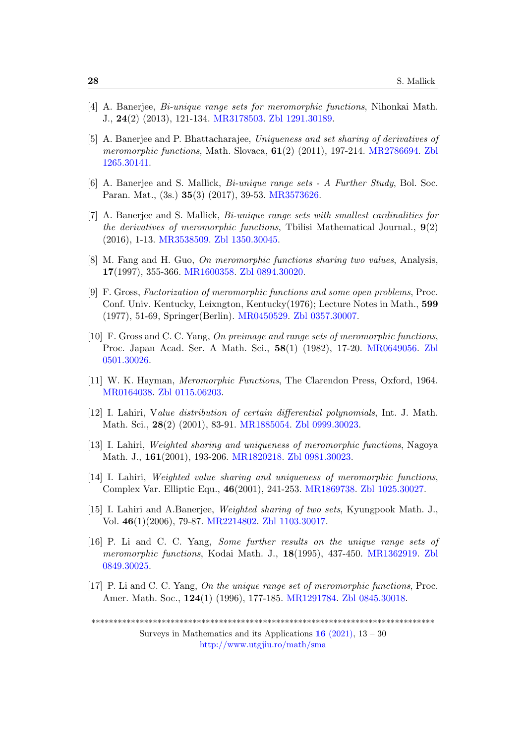- <span id="page-15-6"></span>[4] A. Banerjee, Bi-unique range sets for meromorphic functions, Nihonkai Math. J., 24(2) (2013), 121-134. [MR3178503.](http://www.ams.org/mathscinet-getitem?mr=3178503) [Zbl 1291.30189.](http://www.zentralblatt-math.org/zmath/en/advanced/?q=an:1291.30189&format=complete)
- <span id="page-15-5"></span>[5] A. Banerjee and P. Bhattacharajee, Uniqueness and set sharing of derivatives of meromorphic functions, Math. Slovaca,  $61(2)$  (2011), 197-214. [MR2786694.](http://www.ams.org/mathscinet-getitem?mr=2786694) [Zbl](http://www.zentralblatt-math.org/zmath/en/advanced/?q=an:1265.30141&format=complete) [1265.30141.](http://www.zentralblatt-math.org/zmath/en/advanced/?q=an:1265.30141&format=complete)
- <span id="page-15-7"></span>[6] A. Banerjee and S. Mallick, Bi-unique range sets - A Further Study, Bol. Soc. Paran. Mat., (3s.) 35(3) (2017), 39-53. [MR3573626.](http://www.ams.org/mathscinet-getitem?mr=3573626)
- <span id="page-15-8"></span>[7] A. Banerjee and S. Mallick, Bi-unique range sets with smallest cardinalities for the derivatives of meromorphic functions, Tbilisi Mathematical Journal.,  $9(2)$ (2016), 1-13. [MR3538509.](http://www.ams.org/mathscinet-getitem?mr=3538509) [Zbl 1350.30045.](http://www.zentralblatt-math.org/zmath/en/advanced/?q=an:1350.30045&format=complete)
- <span id="page-15-4"></span>[8] M. Fang and H. Guo, On meromorphic functions sharing two values, Analysis, 17(1997), 355-366. [MR1600358.](http://www.ams.org/mathscinet-getitem?mr=1600358) [Zbl 0894.30020.](http://www.zentralblatt-math.org/zmath/en/advanced/?q=an:0894.30020&format=complete)
- <span id="page-15-0"></span>[9] F. Gross, Factorization of meromorphic functions and some open problems, Proc. Conf. Univ. Kentucky, Leixngton, Kentucky(1976); Lecture Notes in Math., 599 (1977), 51-69, Springer(Berlin). [MR0450529.](http://www.ams.org/mathscinet-getitem?mr=0450529) [Zbl 0357.30007.](http://www.zentralblatt-math.org/zmath/en/advanced/?q=an:0357.30007&format=complete)
- [10] F. Gross and C. C. Yang, On preimage and range sets of meromorphic functions, Proc. Japan Acad. Ser. A Math. Sci., 58(1) (1982), 17-20. [MR0649056.](http://www.ams.org/mathscinet-getitem?mr=0649056) [Zbl](http://www.zentralblatt-math.org/zmath/en/advanced/?q=an:0501.30026&format=complete) [0501.30026.](http://www.zentralblatt-math.org/zmath/en/advanced/?q=an:0501.30026&format=complete)
- <span id="page-15-9"></span>[11] W. K. Hayman, Meromorphic Functions, The Clarendon Press, Oxford, 1964. [MR0164038.](http://www.ams.org/mathscinet-getitem?mr=0164038) [Zbl 0115.06203.](http://www.zentralblatt-math.org/zmath/en/advanced/?q=an:0115.06203&format=complete)
- <span id="page-15-10"></span>[12] I. Lahiri, Value distribution of certain differential polynomials, Int. J. Math. Math. Sci., 28(2) (2001), 83-91. [MR1885054.](http://www.ams.org/mathscinet-getitem?mr=1885054) [Zbl 0999.30023.](http://www.zentralblatt-math.org/zmath/en/advanced/?q=an:0999.30023&format=complete)
- <span id="page-15-1"></span> $[13]$  I. Lahiri, *Weighted sharing and uniqueness of meromorphic functions*, Nagoya Math. J., 161(2001), 193-206. [MR1820218.](http://www.ams.org/mathscinet-getitem?mr=1820218) [Zbl 0981.30023.](http://www.zentralblatt-math.org/zmath/en/advanced/?q=an:0981.30023&format=complete)
- <span id="page-15-2"></span>[14] I. Lahiri, Weighted value sharing and uniqueness of meromorphic functions, Complex Var. Elliptic Equ., 46(2001), 241-253. [MR1869738.](http://www.ams.org/mathscinet-getitem?mr=1869738) [Zbl 1025.30027.](http://www.zentralblatt-math.org/zmath/en/advanced/?q=an:1025.30027&format=complete)
- <span id="page-15-11"></span>[15] I. Lahiri and A.Banerjee, Weighted sharing of two sets, Kyungpook Math. J., Vol. 46(1)(2006), 79-87. [MR2214802.](http://www.ams.org/mathscinet-getitem?mr=2214802) [Zbl 1103.30017.](http://www.zentralblatt-math.org/zmath/en/advanced/?q=an:1103.30017&format=complete)
- [16] P. Li and C. C. Yang, Some further results on the unique range sets of meromorphic functions, Kodai Math. J., 18(1995), 437-450. [MR1362919.](http://www.ams.org/mathscinet-getitem?mr=1362919) [Zbl](http://www.zentralblatt-math.org/zmath/en/advanced/?q=an:0849.30025&format=complete) [0849.30025.](http://www.zentralblatt-math.org/zmath/en/advanced/?q=an:0849.30025&format=complete)
- <span id="page-15-3"></span>[17] P. Li and C. C. Yang, On the unique range set of meromorphic functions, Proc. Amer. Math. Soc., 124(1) (1996), 177-185. [MR1291784.](http://www.ams.org/mathscinet-getitem?mr=1291784) [Zbl 0845.30018.](http://www.zentralblatt-math.org/zmath/en/advanced/?q=an:0845.30018&format=complete)

\*\*\*\*\*\*\*\*\*\*\*\*\*\*\*\*\*\*\*\*\*\*\*\*\*\*\*\*\*\*\*\*\*\*\*\*\*\*\*\*\*\*\*\*\*\*\*\*\*\*\*\*\*\*\*\*\*\*\*\*\*\*\*\*\*\*\*\*\*\*\*\*\*\*\*\*\*\*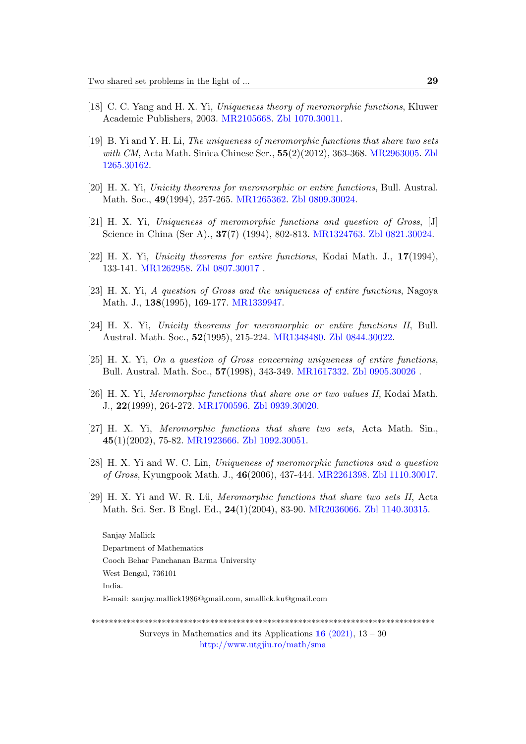- <span id="page-16-9"></span>[18] C. C. Yang and H. X. Yi, Uniqueness theory of meromorphic functions, Kluwer Academic Publishers, 2003. [MR2105668.](http://www.ams.org/mathscinet-getitem?mr=2105668) [Zbl 1070.30011.](http://www.zentralblatt-math.org/zmath/en/advanced/?q=an:1070.30011&format=complete)
- <span id="page-16-8"></span>[19] B. Yi and Y. H. Li, The uniqueness of meromorphic functions that share two sets with CM, Acta Math. Sinica Chinese Ser.,  $55(2)(2012)$ , 363-368. [MR2963005.](http://www.ams.org/mathscinet-getitem?mr=2963005) [Zbl](http://www.zentralblatt-math.org/zmath/en/advanced/?q=an:1265.30162&format=complete) [1265.30162.](http://www.zentralblatt-math.org/zmath/en/advanced/?q=an:1265.30162&format=complete)
- <span id="page-16-2"></span>[20] H. X. Yi, Unicity theorems for meromorphic or entire functions, Bull. Austral. Math. Soc., 49(1994), 257-265. [MR1265362.](http://www.ams.org/mathscinet-getitem?mr=1265362) [Zbl 0809.30024.](http://www.zentralblatt-math.org/zmath/en/advanced/?q=an:0809.30024&format=complete)
- <span id="page-16-1"></span>[21] H. X. Yi, Uniqueness of meromorphic functions and question of Gross, [J] Science in China (Ser A)., 37(7) (1994), 802-813. [MR1324763.](http://www.ams.org/mathscinet-getitem?mr=1324763) [Zbl 0821.30024.](http://www.zentralblatt-math.org/zmath/en/advanced/?q=an:0821.30024&format=complete)
- <span id="page-16-3"></span>[22] H. X. Yi, Unicity theorems for entire functions, Kodai Math. J., 17(1994), 133-141. [MR1262958.](http://www.ams.org/mathscinet-getitem?mr=1262958) [Zbl 0807.30017](http://www.zentralblatt-math.org/zmath/en/advanced/?q=an:0807.30017&format=complete) .
- <span id="page-16-4"></span>[23] H. X. Yi, A question of Gross and the uniqueness of entire functions, Nagoya Math. J., 138(1995), 169-177. [MR1339947.](http://www.ams.org/mathscinet-getitem?mr=1339947)
- <span id="page-16-5"></span>[24] H. X. Yi, Unicity theorems for meromorphic or entire functions II, Bull. Austral. Math. Soc., 52(1995), 215-224. [MR1348480.](http://www.ams.org/mathscinet-getitem?mr=1348480) [Zbl 0844.30022.](http://www.zentralblatt-math.org/zmath/en/advanced/?q=an:0844.30022&format=complete)
- <span id="page-16-0"></span>[25] H. X. Yi, On a question of Gross concerning uniqueness of entire functions, Bull. Austral. Math. Soc., 57(1998), 343-349. [MR1617332.](http://www.ams.org/mathscinet-getitem?mr=1617332) [Zbl 0905.30026](http://www.zentralblatt-math.org/zmath/en/advanced/?q=an:0905.30026&format=complete) .
- <span id="page-16-10"></span>[26] H. X. Yi, Meromorphic functions that share one or two values II, Kodai Math. J., 22(1999), 264-272. [MR1700596.](http://www.ams.org/mathscinet-getitem?mr=1700596) [Zbl 0939.30020.](http://www.zentralblatt-math.org/zmath/en/advanced/?q=an:0939.30020&format=complete)
- <span id="page-16-6"></span>[27] H. X. Yi, Meromorphic functions that share two sets, Acta Math. Sin., 45(1)(2002), 75-82. [MR1923666.](http://www.ams.org/mathscinet-getitem?mr=1923666) [Zbl 1092.30051.](http://www.zentralblatt-math.org/zmath/en/advanced/?q=an:1092.30051&format=complete)
- <span id="page-16-7"></span>[28] H. X. Yi and W. C. Lin, Uniqueness of meromorphic functions and a question of Gross, Kyungpook Math. J., 46(2006), 437-444. [MR2261398.](http://www.ams.org/mathscinet-getitem?mr=2261398) [Zbl 1110.30017.](http://www.zentralblatt-math.org/zmath/en/advanced/?q=an:1110.30017&format=complete)
- <span id="page-16-11"></span>[29] H. X. Yi and W. R. Lü, Meromorphic functions that share two sets II, Acta Math. Sci. Ser. B Engl. Ed., 24(1)(2004), 83-90. [MR2036066.](http://www.ams.org/mathscinet-getitem?mr=2036066) [Zbl 1140.30315.](http://www.zentralblatt-math.org/zmath/en/advanced/?q=an:1140.30315&format=complete)

Sanjay Mallick Department of Mathematics Cooch Behar Panchanan Barma University West Bengal, 736101 India. E-mail: sanjay.mallick1986@gmail.com, smallick.ku@gmail.com

\*\*\*\*\*\*\*\*\*\*\*\*\*\*\*\*\*\*\*\*\*\*\*\*\*\*\*\*\*\*\*\*\*\*\*\*\*\*\*\*\*\*\*\*\*\*\*\*\*\*\*\*\*\*\*\*\*\*\*\*\*\*\*\*\*\*\*\*\*\*\*\*\*\*\*\*\*\*